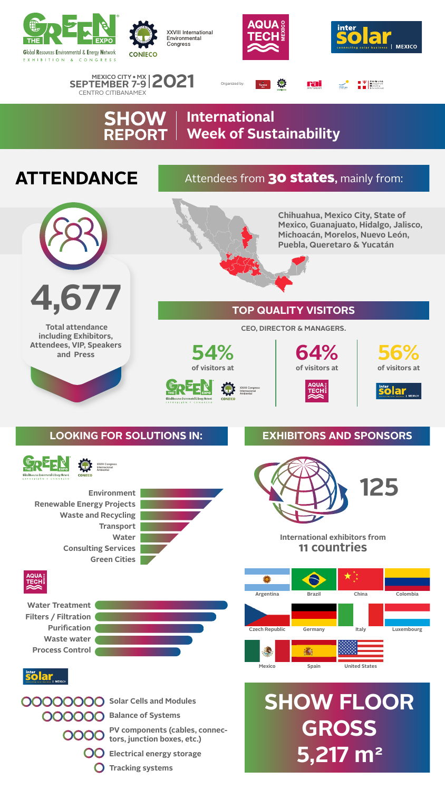#### **SHOW International REPORT Week of Sustainability**

## **ATTENDANCE**











 **Total attendance including Exhibitors, Attendees, VIP, Speakers and Press**



**International exhibitors from 11 countries**



**inter**<br>**Solar** 

**Solar Cells and Modules**

**Balance of Systems**

**PV components (cables, connectors, junction boxes, etc.)**





## Attendees from 30 states**,** mainly from:





### **TOP QUALITY VISITORS**

## **LOOKING FOR SOLUTIONS IN: EXHIBITORS AND SPONSORS**

**CEO, DIRECTOR & MANAGERS.**



EXPOSICIÓN Y CONGRESO









**56% of visitors at**





# **SHOW FLOOR GROSS**









**XXVIII International Environmental Congress**



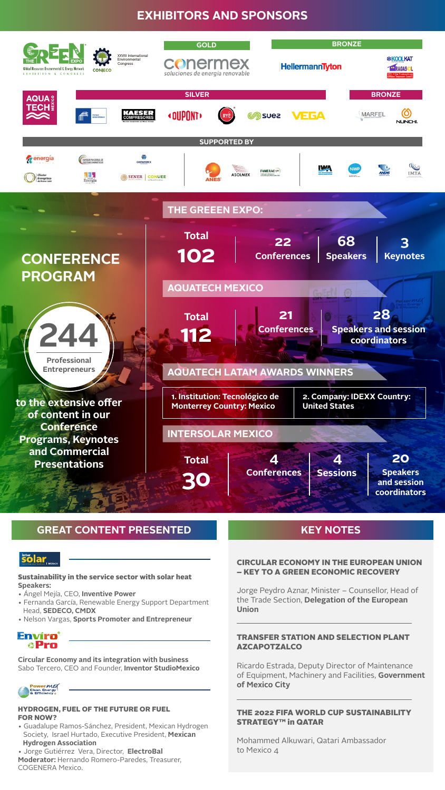## **EXHIBITORS AND SPONSORS**

#### Sustainability in the service sector with solar heat **Speakers:**

- Ángel Mejía, CEO, **Inventive Power**
- Fernanda García, Renewable Energy Support Department Head, **SEDECO, CMDX**
- Nelson Vargas, **Sports Promoter and Entrepreneur**

#### Envíro **aPro**

#### CIRCULAR ECONOMY IN THE EUROPEAN UNION – KEY TO A GREEN ECONOMIC RECOVERY

Jorge Peydro Aznar, Minister – Counsellor, Head of the Trade Section, **Delegation of the European Union**

#### TRANSFER STATION AND SELECTION PLANT AZCAPOTZALCO

Ricardo Estrada, Deputy Director of Maintenance of Equipment, Machinery and Facilities, **Government of Mexico City**

#### THE 2022 FIFA WORLD CUP SUSTAINABILITY STRATEGY™ in QATAR

Mohammed Alkuwari, Qatari Ambassador

to Mexico 4

#### HYDROGEN, FUEL OF THE FUTURE OR FUEL FOR NOW?

• Guadalupe Ramos-Sánchez, President, Mexican Hydrogen Society, Israel Hurtado, Executive President, **Mexican** 



#### • Jorge Gutiérrez Vera, Director, **ElectroBal**

#### **Moderator:** Hernando Romero-Paredes, Treasurer,

COGENERA Mexico.

**Circular Economy and its integration with business** Sabo Tercero, CEO and Founder, **Inventor StudioMexico**





#### **GREAT CONTENT PRESENTED WE KEY NOTES**

## SO **C**<br>Something solar business | MEXICO